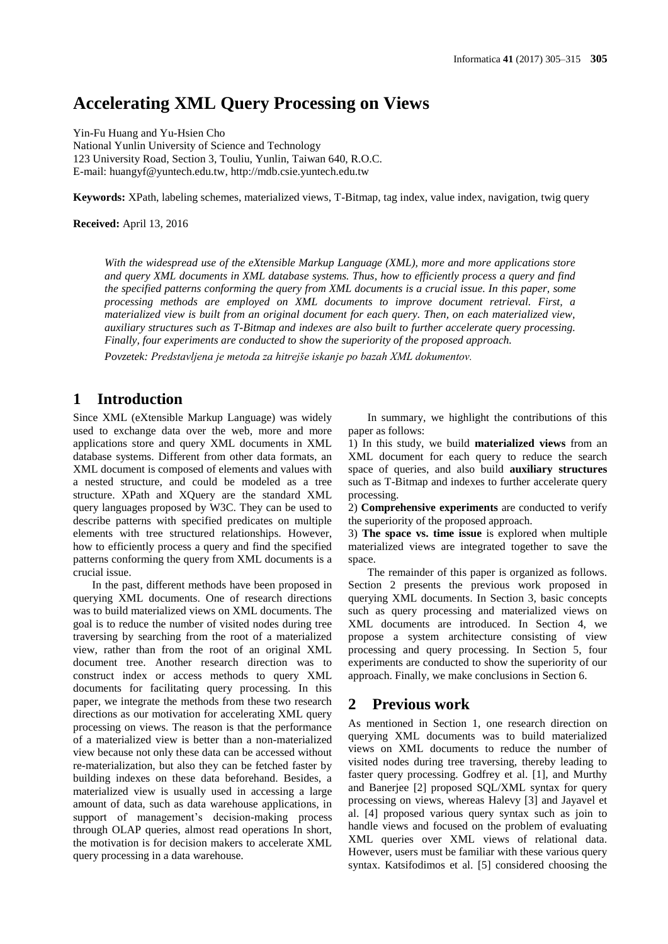## **Accelerating XML Query Processing on Views**

Yin-Fu Huang and Yu-Hsien Cho National Yunlin University of Science and Technology 123 University Road, Section 3, Touliu, Yunlin, Taiwan 640, R.O.C. E-mail: huangyf@yuntech.edu.tw, [http://mdb.csie.yuntech.edu.tw](http://mdb.csie.yuntech.edu.tw/)

**Keywords:** XPath, labeling schemes, materialized views, T-Bitmap, tag index, value index, navigation, twig query

**Received:** April 13, 2016

*With the widespread use of the eXtensible Markup Language (XML), more and more applications store and query XML documents in XML database systems. Thus, how to efficiently process a query and find the specified patterns conforming the query from XML documents is a crucial issue. In this paper, some processing methods are employed on XML documents to improve document retrieval. First, a materialized view is built from an original document for each query. Then, on each materialized view, auxiliary structures such as T-Bitmap and indexes are also built to further accelerate query processing. Finally, four experiments are conducted to show the superiority of the proposed approach.*

*Povzetek: Predstavljena je metoda za hitrejše iskanje po bazah XML dokumentov.*

## **1 Introduction**

Since XML (eXtensible Markup Language) was widely used to exchange data over the web, more and more applications store and query XML documents in XML database systems. Different from other data formats, an XML document is composed of elements and values with a nested structure, and could be modeled as a tree structure. XPath and XQuery are the standard XML query languages proposed by W3C. They can be used to describe patterns with specified predicates on multiple elements with tree structured relationships. However, how to efficiently process a query and find the specified patterns conforming the query from XML documents is a crucial issue.

In the past, different methods have been proposed in querying XML documents. One of research directions was to build materialized views on XML documents. The goal is to reduce the number of visited nodes during tree traversing by searching from the root of a materialized view, rather than from the root of an original XML document tree. Another research direction was to construct index or access methods to query XML documents for facilitating query processing. In this paper, we integrate the methods from these two research directions as our motivation for accelerating XML query processing on views. The reason is that the performance of a materialized view is better than a non-materialized view because not only these data can be accessed without re-materialization, but also they can be fetched faster by building indexes on these data beforehand. Besides, a materialized view is usually used in accessing a large amount of data, such as data warehouse applications, in support of management's decision-making process through OLAP queries, almost read operations In short, the motivation is for decision makers to accelerate XML query processing in a data warehouse.

In summary, we highlight the contributions of this paper as follows:

1) In this study, we build **materialized views** from an XML document for each query to reduce the search space of queries, and also build **auxiliary structures** such as T-Bitmap and indexes to further accelerate query processing.

2) **Comprehensive experiments** are conducted to verify the superiority of the proposed approach.

3) **The space vs. time issue** is explored when multiple materialized views are integrated together to save the space.

The remainder of this paper is organized as follows. Section 2 presents the previous work proposed in querying XML documents. In Section 3, basic concepts such as query processing and materialized views on XML documents are introduced. In Section 4, we propose a system architecture consisting of view processing and query processing. In Section 5, four experiments are conducted to show the superiority of our approach. Finally, we make conclusions in Section 6.

## **2 Previous work**

As mentioned in Section 1, one research direction on querying XML documents was to build materialized views on XML documents to reduce the number of visited nodes during tree traversing, thereby leading to faster query processing. Godfrey et al. [1], and Murthy and Banerjee [2] proposed SQL/XML syntax for query processing on views, whereas Halevy [3] and Jayavel et al. [4] proposed various query syntax such as join to handle views and focused on the problem of evaluating XML queries over XML views of relational data. However, users must be familiar with these various query syntax. Katsifodimos et al. [5] considered choosing the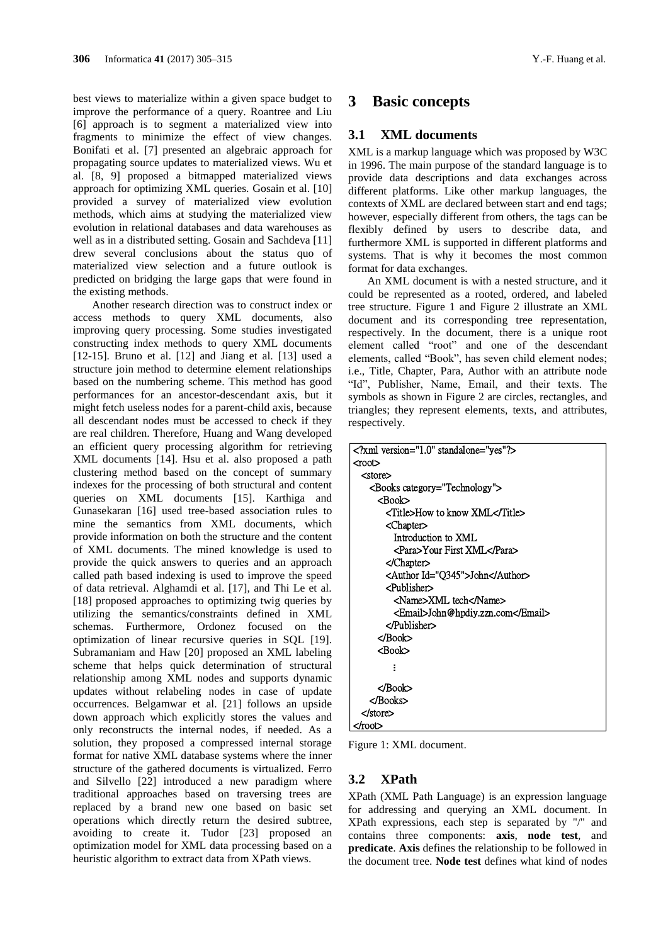best views to materialize within a given space budget to improve the performance of a query. Roantree and Liu [6] approach is to segment a materialized view into fragments to minimize the effect of view changes. Bonifati et al. [7] presented an algebraic approach for propagating source updates to materialized views. Wu et al. [8, 9] proposed a bitmapped materialized views approach for optimizing XML queries. Gosain et al. [10] provided a survey of materialized view evolution methods, which aims at studying the materialized view evolution in relational databases and data warehouses as well as in a distributed setting. Gosain and Sachdeva [11] drew several conclusions about the status quo of materialized view selection and a future outlook is predicted on bridging the large gaps that were found in the existing methods.

Another research direction was to construct index or access methods to query XML documents, also improving query processing. Some studies investigated constructing index methods to query XML documents [12-15]. Bruno et al. [12] and Jiang et al. [13] used a structure join method to determine element relationships based on the numbering scheme. This method has good performances for an ancestor-descendant axis, but it might fetch useless nodes for a parent-child axis, because all descendant nodes must be accessed to check if they are real children. Therefore, Huang and Wang developed an efficient query processing algorithm for retrieving XML documents [14]. Hsu et al. also proposed a path clustering method based on the concept of summary indexes for the processing of both structural and content queries on XML documents [15]. Karthiga and Gunasekaran [16] used tree-based association rules to mine the semantics from XML documents, which provide information on both the structure and the content of XML documents. The mined knowledge is used to provide the quick answers to queries and an approach called path based indexing is used to improve the speed of data retrieval. Alghamdi et al. [17], and Thi Le et al. [18] proposed approaches to optimizing twig queries by utilizing the semantics/constraints defined in XML schemas. Furthermore, Ordonez focused on the optimization of linear recursive queries in SQL [19]. Subramaniam and Haw [20] proposed an XML labeling scheme that helps quick determination of structural relationship among XML nodes and supports dynamic updates without relabeling nodes in case of update occurrences. Belgamwar et al. [21] follows an upside down approach which explicitly stores the values and only reconstructs the internal nodes, if needed. As a solution, they proposed a compressed internal storage format for native XML database systems where the inner structure of the gathered documents is virtualized. Ferro and Silvello [22] introduced a new paradigm where traditional approaches based on traversing trees are replaced by a brand new one based on basic set operations which directly return the desired subtree, avoiding to create it. Tudor [23] proposed an optimization model for XML data processing based on a heuristic algorithm to extract data from XPath views.

## **3 Basic concepts**

#### **3.1 XML documents**

XML is a markup language which was proposed by W3C in 1996. The main purpose of the standard language is to provide data descriptions and data exchanges across different platforms. Like other markup languages, the contexts of XML are declared between start and end tags; however, especially different from others, the tags can be flexibly defined by users to describe data, and furthermore XML is supported in different platforms and systems. That is why it becomes the most common format for data exchanges.

An XML document is with a nested structure, and it could be represented as a rooted, ordered, and labeled tree structure. Figure 1 and Figure 2 illustrate an XML document and its corresponding tree representation, respectively. In the document, there is a unique root element called "root" and one of the descendant elements, called "Book", has seven child element nodes; i.e., Title, Chapter, Para, Author with an attribute node "Id", Publisher, Name, Email, and their texts. The symbols as shown in Figure 2 are circles, rectangles, and triangles; they represent elements, texts, and attributes, respectively.

```
<?xml version="1.0" standalone="yes"?>
<root>
   <store>
     <Books category="Technology">
       <Book>
         <Title>How to know XML</Title>
         <Chapter>
           Introduction to XML
           <Para>Your First XML</Para>
         </Chapter>
         <Author Id="Q345">John</Author>
         <Publisher>
           <Name>XML tech</Name>
           <Email>John@hpdiy.zzn.com</Email>
         </Publisher>
       </Book>
       <Book>
       </Book>
     </Books>
 </store>
:<br>«/Bo><br>«/Book><br>>/root>
```
Figure 1: XML document.

## **3.2 XPath**

XPath (XML Path Language) is an expression language for addressing and querying an XML document. In XPath expressions, each step is separated by "/" and contains three components: **axis**, **node test**, and **predicate**. **Axis** defines the relationship to be followed in the document tree. **Node test** defines what kind of nodes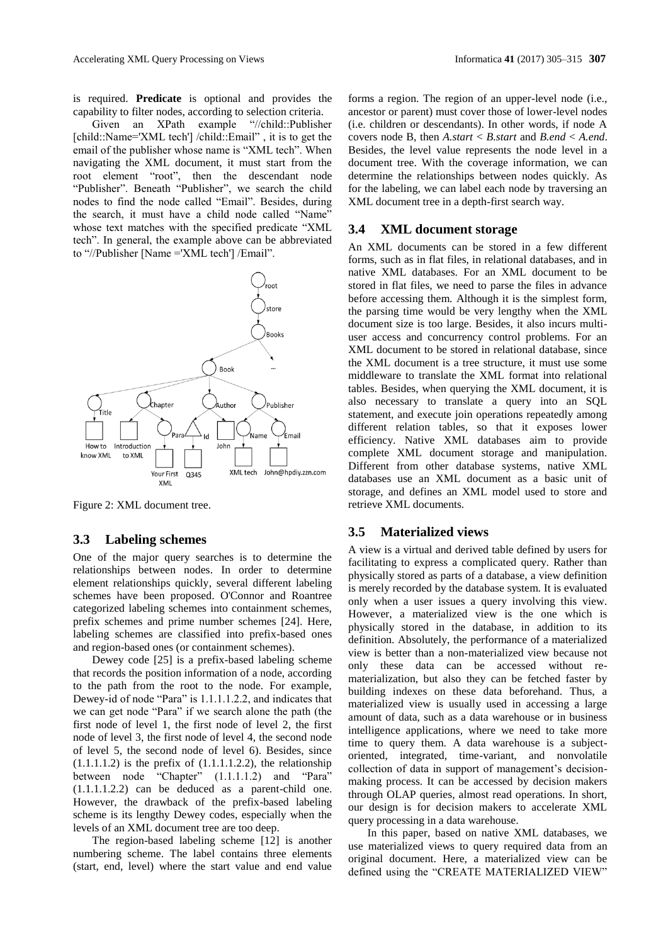is required. **Predicate** is optional and provides the capability to filter nodes, according to selection criteria.

Given an XPath example "//child::Publisher [child::Name='XML tech'] /child::Email" , it is to get the email of the publisher whose name is "XML tech". When navigating the XML document, it must start from the root element "root", then the descendant node "Publisher". Beneath "Publisher", we search the child nodes to find the node called "Email". Besides, during the search, it must have a child node called "Name" whose text matches with the specified predicate "XML tech". In general, the example above can be abbreviated to "//Publisher [Name ='XML tech'] /Email".



Figure 2: XML document tree.

## **3.3 Labeling schemes**

One of the major query searches is to determine the relationships between nodes. In order to determine element relationships quickly, several different labeling schemes have been proposed. O'Connor and Roantree categorized labeling schemes into containment schemes, prefix schemes and prime number schemes [24]. Here, labeling schemes are classified into prefix-based ones and region-based ones (or containment schemes).

Dewey code [25] is a prefix-based labeling scheme that records the position information of a node, according to the path from the root to the node. For example, Dewey-id of node "Para" is 1.1.1.1.2.2, and indicates that we can get node "Para" if we search alone the path (the first node of level 1, the first node of level 2, the first node of level 3, the first node of level 4, the second node of level 5, the second node of level 6). Besides, since  $(1.1.1.1.2)$  is the prefix of  $(1.1.1.1.2.2)$ , the relationship between node "Chapter"  $(1.1.1.1.2)$  and "Para" (1.1.1.1.2.2) can be deduced as a parent-child one. However, the drawback of the prefix-based labeling scheme is its lengthy Dewey codes, especially when the levels of an XML document tree are too deep.

The region-based labeling scheme [12] is another numbering scheme. The label contains three elements (start, end, level) where the start value and end value

forms a region. The region of an upper-level node (i.e., ancestor or parent) must cover those of lower-level nodes (i.e. children or descendants). In other words, if node A covers node B, then *A.start* < *B.start* and *B.end* < *A.end*. Besides, the level value represents the node level in a document tree. With the coverage information, we can determine the relationships between nodes quickly. As for the labeling, we can label each node by traversing an XML document tree in a depth-first search way.

#### **3.4 XML document storage**

An XML documents can be stored in a few different forms, such as in flat files, in relational databases, and in native XML databases. For an XML document to be stored in flat files, we need to parse the files in advance before accessing them. Although it is the simplest form, the parsing time would be very lengthy when the XML document size is too large. Besides, it also incurs multiuser access and concurrency control problems. For an XML document to be stored in relational database, since the XML document is a tree structure, it must use some middleware to translate the XML format into relational tables. Besides, when querying the XML document, it is also necessary to translate a query into an SQL statement, and execute join operations repeatedly among different relation tables, so that it exposes lower efficiency. Native XML databases aim to provide complete XML document storage and manipulation. Different from other database systems, native XML databases use an XML document as a basic unit of storage, and defines an XML model used to store and retrieve XML documents.

### **3.5 Materialized views**

A view is a virtual and derived table defined by users for facilitating to express a complicated query. Rather than physically stored as parts of a database, a view definition is merely recorded by the database system. It is evaluated only when a user issues a query involving this view. However, a materialized view is the one which is physically stored in the database, in addition to its definition. Absolutely, the performance of a materialized view is better than a non-materialized view because not only these data can be accessed without rematerialization, but also they can be fetched faster by building indexes on these data beforehand. Thus, a materialized view is usually used in accessing a large amount of data, such as a data warehouse or in business intelligence applications, where we need to take more time to query them. A data warehouse is a subjectoriented, integrated, time-variant, and nonvolatile collection of data in support of management's decisionmaking process. It can be accessed by decision makers through OLAP queries, almost read operations. In short, our design is for decision makers to accelerate XML query processing in a data warehouse.

In this paper, based on native XML databases, we use materialized views to query required data from an original document. Here, a materialized view can be defined using the "CREATE MATERIALIZED VIEW"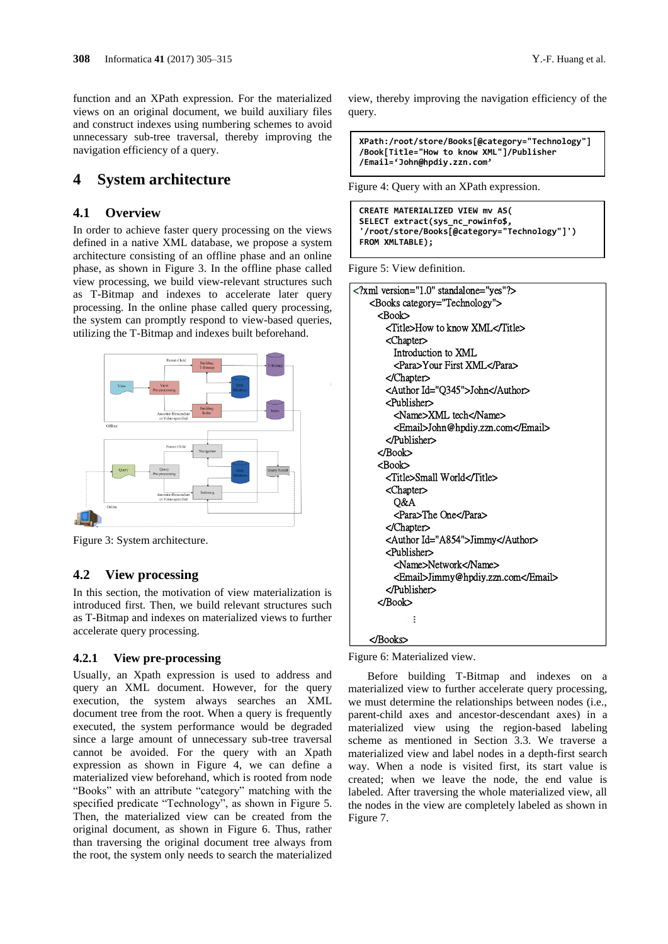function and an XPath expression. For the materialized views on an original document, we build auxiliary files and construct indexes using numbering schemes to avoid unnecessary sub-tree traversal, thereby improving the navigation efficiency of a query.

## **4 System architecture**

#### **4.1 Overview**

In order to achieve faster query processing on the views defined in a native XML database, we propose a system architecture consisting of an offline phase and an online phase, as shown in Figure 3. In the offline phase called view processing, we build view-relevant structures such as T-Bitmap and indexes to accelerate later query processing. In the online phase called query processing, the system can promptly respond to view-based queries, utilizing the T-Bitmap and indexes built beforehand.



Figure 3: System architecture.

#### **4.2 View processing**

In this section, the motivation of view materialization is introduced first. Then, we build relevant structures such as T-Bitmap and indexes on materialized views to further accelerate query processing.

#### **4.2.1 View pre-processing**

Usually, an Xpath expression is used to address and query an XML document. However, for the query execution, the system always searches an XML document tree from the root. When a query is frequently executed, the system performance would be degraded since a large amount of unnecessary sub-tree traversal cannot be avoided. For the query with an Xpath expression as shown in Figure 4, we can define a materialized view beforehand, which is rooted from node "Books" with an attribute "category" matching with the specified predicate "Technology", as shown in Figure 5. Then, the materialized view can be created from the original document, as shown in Figure 6. Thus, rather than traversing the original document tree always from the root, the system only needs to search the materialized

view, thereby improving the navigation efficiency of the query.

**XPath:/root/store/Books[@category="Technology"] /Book[Title="How to know XML"]/Publisher /Email='John@hpdiy.zzn.com'**

Figure 4: Query with an XPath expression.

```
CREATE MATERIALIZED VIEW mv AS(
SELECT extract(sys_nc_rowinfo$,
'/root/store/Books[@category="Technology"]')
FROM XMLTABLE);
```
Figure 5: View definition.

| xml version="1.0" standalone="yes"?   |  |
|---------------------------------------|--|
| <books category="Technology"></books> |  |
| <book></book>                         |  |
| <title>How to know XML</title>        |  |
| <chapter></chapter>                   |  |
| Introduction to XML                   |  |
| <para>Your First XML</para>           |  |
| $\triangle$ Chapter                   |  |
| <author id="Q345">John</author>       |  |
| $\epsilon$ Publisher $\epsilon$       |  |
| <name>XML tech</name>                 |  |
| <email>John@hpdiy.zzn.com</email>     |  |
| $\langle$ /Publisher $>$              |  |
|                                       |  |
| $R$ Rook $>$                          |  |
| <title>Small World</title>            |  |
| <chapter></chapter>                   |  |
| O&A                                   |  |
| <para>The One</para>                  |  |
|                                       |  |
| <author id="A854">Jimmy</author>      |  |
| $\epsilon$ Publisher $>$              |  |
| <name>Network</name>                  |  |
| <email>Jimmy@hpdiy.zzn.com</email>    |  |
|                                       |  |
|                                       |  |
|                                       |  |
|                                       |  |

Figure 6: Materialized view.

Before building T-Bitmap and indexes on a materialized view to further accelerate query processing, we must determine the relationships between nodes (i.e., parent-child axes and ancestor-descendant axes) in a materialized view using the region-based labeling scheme as mentioned in Section 3.3. We traverse a materialized view and label nodes in a depth-first search way. When a node is visited first, its start value is created; when we leave the node, the end value is labeled. After traversing the whole materialized view, all the nodes in the view are completely labeled as shown in Figure 7.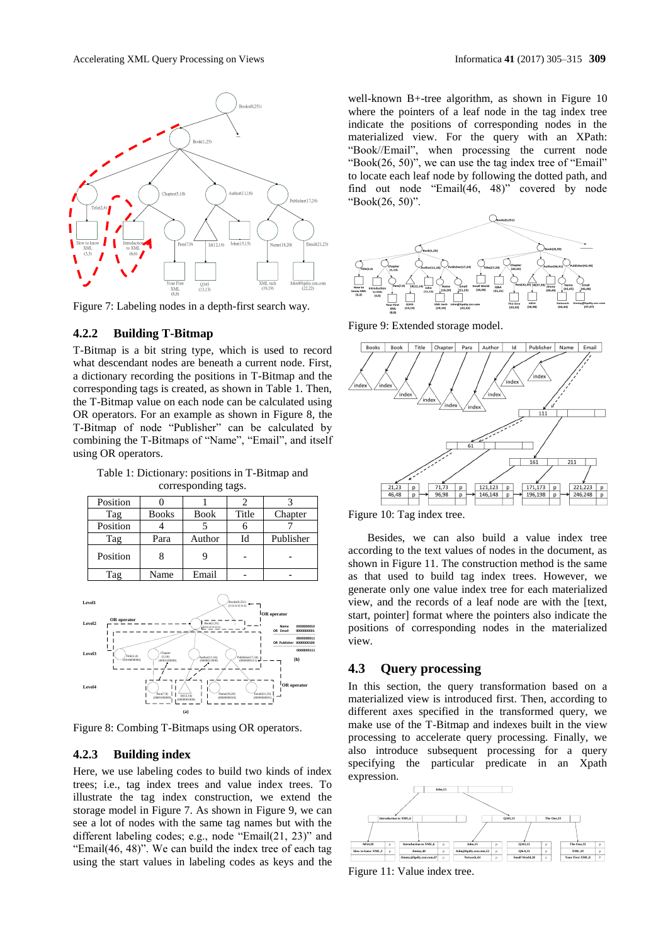

Figure 7: Labeling nodes in a depth-first search way.

#### **4.2.2 Building T-Bitmap**

T-Bitmap is a bit string type, which is used to record what descendant nodes are beneath a current node. First, a dictionary recording the positions in T-Bitmap and the corresponding tags is created, as shown in Table 1. Then, the T-Bitmap value on each node can be calculated using OR operators. For an example as shown in Figure 8, the T-Bitmap of node "Publisher" can be calculated by combining the T-Bitmaps of "Name", "Email", and itself using OR operators.

Table 1: Dictionary: positions in T-Bitmap and corresponding tags.

| Position |              |             |       |           |
|----------|--------------|-------------|-------|-----------|
| Tag      | <b>Books</b> | <b>Book</b> | Title | Chapter   |
| Position |              |             |       |           |
| Tag      | Para         | Author      | Id    | Publisher |
| Position |              |             |       |           |
| Tag      | Name         | Email       |       |           |



Figure 8: Combing T-Bitmaps using OR operators.

#### **4.2.3 Building index**

Here, we use labeling codes to build two kinds of index trees; i.e., tag index trees and value index trees. To illustrate the tag index construction, we extend the storage model in Figure 7. As shown in Figure 9, we can see a lot of nodes with the same tag names but with the different labeling codes; e.g., node "Email(21, 23)" and "Email(46, 48)". We can build the index tree of each tag using the start values in labeling codes as keys and the

well-known B+-tree algorithm, as shown in Figure 10 where the pointers of a leaf node in the tag index tree indicate the positions of corresponding nodes in the materialized view. For the query with an XPath: "Book//Email", when processing the current node "Book(26, 50)", we can use the tag index tree of "Email" to locate each leaf node by following the dotted path, and find out node "Email(46, 48)" covered by node "Book(26, 50)".



Figure 9: Extended storage model.





Besides, we can also build a value index tree according to the text values of nodes in the document, as shown in Figure 11. The construction method is the same as that used to build tag index trees. However, we generate only one value index tree for each materialized view, and the records of a leaf node are with the [text, start, pointer] format where the pointers also indicate the positions of corresponding nodes in the materialized view.

#### **4.3 Query processing**

In this section, the query transformation based on a materialized view is introduced first. Then, according to different axes specified in the transformed query, we make use of the T-Bitmap and indexes built in the view processing to accelerate query processing. Finally, we also introduce subsequent processing for a query specifying the particular predicate in an Xpath expression.



Figure 11: Value index tree.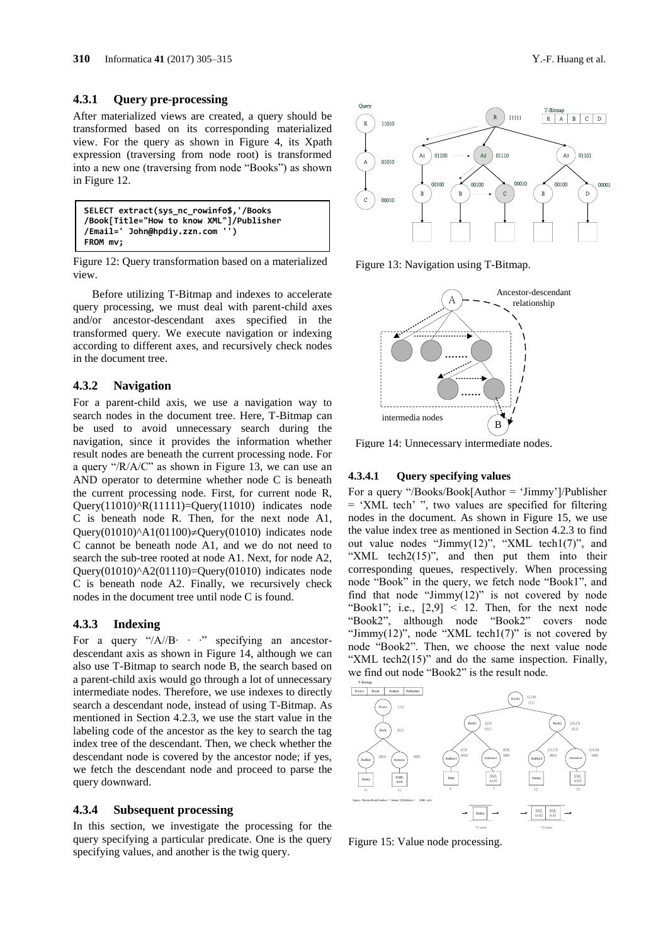#### **4.3.1 Query pre-processing**

After materialized views are created, a query should be transformed based on its corresponding materialized view. For the query as shown in Figure 4, its Xpath expression (traversing from node root) is transformed into a new one (traversing from node "Books") as shown in Figure 12.

**SELECT extract(sys\_nc\_rowinfo\$,'/Books /Book[Title="How to know XML"]/Publisher /Email=' John@hpdiy.zzn.com '') FROM mv;**

Figure 12: Query transformation based on a materialized view.

Before utilizing T-Bitmap and indexes to accelerate query processing, we must deal with parent-child axes and/or ancestor-descendant axes specified in the transformed query. We execute navigation or indexing according to different axes, and recursively check nodes in the document tree.

#### **4.3.2 Navigation**

For a parent-child axis, we use a navigation way to search nodes in the document tree. Here, T-Bitmap can be used to avoid unnecessary search during the navigation, since it provides the information whether result nodes are beneath the current processing node. For a query "/R/A/C" as shown in Figure 13, we can use an AND operator to determine whether node C is beneath the current processing node. First, for current node R, Query $(11010)^{A}R(11111)=Q^{\text{uery}}(11010)$  indicates node C is beneath node R. Then, for the next node A1, Query(01010) $\triangle$ A1(01100) $\neq$ Query(01010) indicates node C cannot be beneath node A1, and we do not need to search the sub-tree rooted at node A1. Next, for node A2, Query(01010) $\triangle$ A2(01110)=Query(01010) indicates node C is beneath node A2. Finally, we recursively check nodes in the document tree until node C is found.

#### **4.3.3 Indexing**

For a query "/A//B∙ ∙ ∙" specifying an ancestordescendant axis as shown in Figure 14, although we can also use T-Bitmap to search node B, the search based on a parent-child axis would go through a lot of unnecessary intermediate nodes. Therefore, we use indexes to directly search a descendant node, instead of using T-Bitmap. As mentioned in Section 4.2.3, we use the start value in the labeling code of the ancestor as the key to search the tag index tree of the descendant. Then, we check whether the descendant node is covered by the ancestor node; if yes, we fetch the descendant node and proceed to parse the query downward.

#### **4.3.4 Subsequent processing**

In this section, we investigate the processing for the query specifying a particular predicate. One is the query specifying values, and another is the twig query.



Figure 13: Navigation using T-Bitmap.



Figure 14: Unnecessary intermediate nodes.

#### **4.3.4.1 Query specifying values**

For a query "/Books/Book[Author = 'Jimmy']/Publisher = 'XML tech' ", two values are specified for filtering nodes in the document. As shown in Figure 15, we use the value index tree as mentioned in Section 4.2.3 to find out value nodes "Jimmy(12)", "XML tech1(7)", and "XML tech $2(15)$ ", and then put them into their corresponding queues, respectively. When processing node "Book" in the query, we fetch node "Book1", and find that node "Jimmy(12)" is not covered by node "Book1"; i.e.,  $[2,9]$  < 12. Then, for the next node "Book2", although node "Book2" covers node "Jimmy $(12)$ ", node "XML tech1(7)" is not covered by node "Book2". Then, we choose the next value node "XML tech2(15)" and do the same inspection. Finally, we find out node "Book2" is the result node.



Figure 15: Value node processing.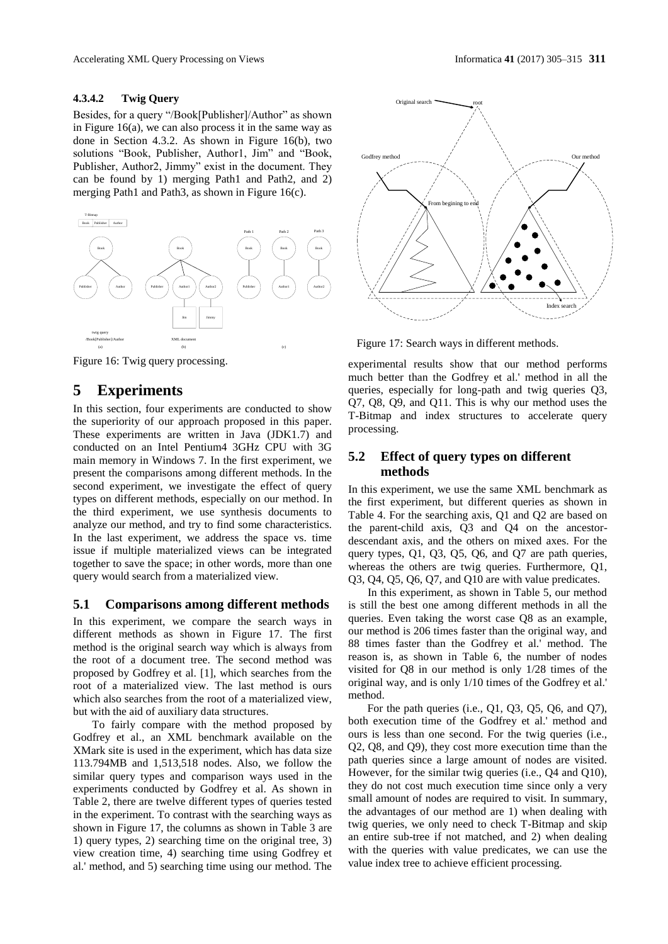#### **4.3.4.2 Twig Query**

Besides, for a query "/Book[Publisher]/Author" as shown in Figure 16(a), we can also process it in the same way as done in Section 4.3.2. As shown in Figure 16(b), two solutions "Book, Publisher, Author1, Jim" and "Book, Publisher, Author2, Jimmy" exist in the document. They can be found by 1) merging Path1 and Path2, and 2) merging Path1 and Path3, as shown in Figure 16(c).



Figure 16: Twig query processing.

## **5 Experiments**

In this section, four experiments are conducted to show the superiority of our approach proposed in this paper. These experiments are written in Java (JDK1.7) and conducted on an Intel Pentium4 3GHz CPU with 3G main memory in Windows 7. In the first experiment, we present the comparisons among different methods. In the second experiment, we investigate the effect of query types on different methods, especially on our method. In the third experiment, we use synthesis documents to analyze our method, and try to find some characteristics. In the last experiment, we address the space vs. time issue if multiple materialized views can be integrated together to save the space; in other words, more than one query would search from a materialized view.

#### **5.1 Comparisons among different methods**

In this experiment, we compare the search ways in different methods as shown in Figure 17. The first method is the original search way which is always from the root of a document tree. The second method was proposed by Godfrey et al. [1], which searches from the root of a materialized view. The last method is ours which also searches from the root of a materialized view, but with the aid of auxiliary data structures.

To fairly compare with the method proposed by Godfrey et al., an XML benchmark available on the XMark site is used in the experiment, which has data size 113.794MB and 1,513,518 nodes. Also, we follow the similar query types and comparison ways used in the experiments conducted by Godfrey et al. As shown in Table 2, there are twelve different types of queries tested in the experiment. To contrast with the searching ways as shown in Figure 17, the columns as shown in Table 3 are 1) query types, 2) searching time on the original tree, 3) view creation time, 4) searching time using Godfrey et al.' method, and 5) searching time using our method. The



Figure 17: Search ways in different methods.

experimental results show that our method performs much better than the Godfrey et al.' method in all the queries, especially for long-path and twig queries Q3, Q7, Q8, Q9, and Q11. This is why our method uses the T-Bitmap and index structures to accelerate query processing.

## **5.2 Effect of query types on different methods**

In this experiment, we use the same XML benchmark as the first experiment, but different queries as shown in Table 4. For the searching axis, Q1 and Q2 are based on the parent-child axis, Q3 and Q4 on the ancestordescendant axis, and the others on mixed axes. For the query types, Q1, Q3, Q5, Q6, and Q7 are path queries, whereas the others are twig queries. Furthermore, Q1, Q3, Q4, Q5, Q6, Q7, and Q10 are with value predicates.

In this experiment, as shown in Table 5, our method is still the best one among different methods in all the queries. Even taking the worst case Q8 as an example, our method is 206 times faster than the original way, and 88 times faster than the Godfrey et al.' method. The reason is, as shown in Table 6, the number of nodes visited for Q8 in our method is only 1/28 times of the original way, and is only 1/10 times of the Godfrey et al.' method.

For the path queries (i.e., Q1, Q3, Q5, Q6, and Q7), both execution time of the Godfrey et al.' method and ours is less than one second. For the twig queries (i.e., Q2, Q8, and Q9), they cost more execution time than the path queries since a large amount of nodes are visited. However, for the similar twig queries (i.e., Q4 and Q10), they do not cost much execution time since only a very small amount of nodes are required to visit. In summary, the advantages of our method are 1) when dealing with twig queries, we only need to check T-Bitmap and skip an entire sub-tree if not matched, and 2) when dealing with the queries with value predicates, we can use the value index tree to achieve efficient processing.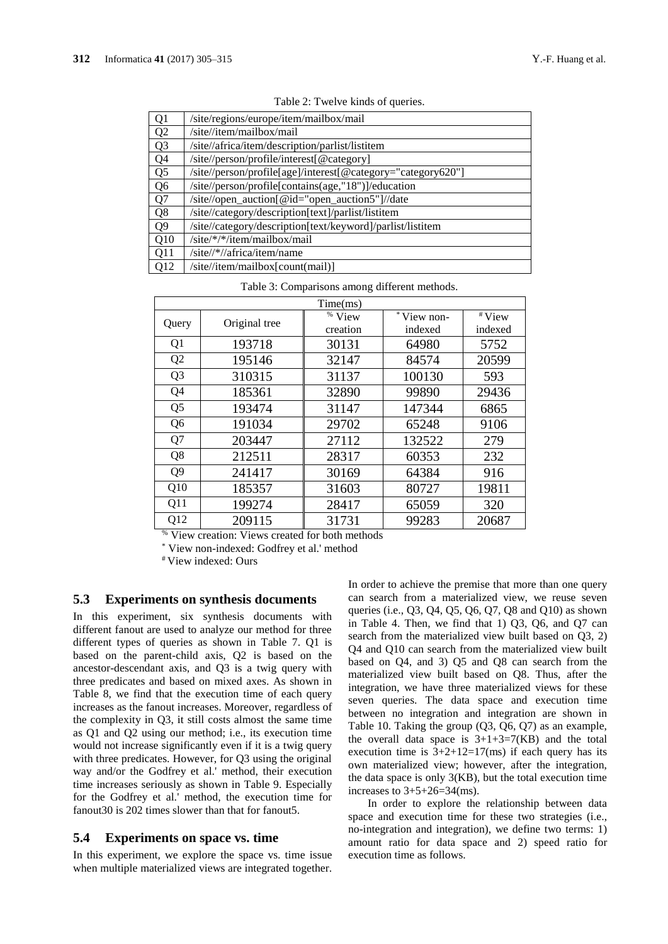| Q <sub>1</sub> | /site/regions/europe/item/mailbox/mail                       |
|----------------|--------------------------------------------------------------|
| Q <sub>2</sub> | /site//item/mailbox/mail                                     |
| Q <sub>3</sub> | /site//africa/item/description/parlist/listitem              |
| Q <sub>4</sub> | /site//person/profile/interest[@category]                    |
| Q <sub>5</sub> | /site//person/profile[age]/interest[@category="category620"] |
| Q <sub>6</sub> | /site//person/profile[contains(age,"18")]/education          |
| Q7             | /site//open_auction[@id="open_auction5"]//date               |
| Q8             | /site//category/description[text]/parlist/listitem           |
| Q9             | /site//category/description[text/keyword]/parlist/listitem   |
| Q10            | /site/*/*/item/mailbox/mail                                  |
| Q11            | /site//*//africa/item/name                                   |
| Q12            | /site//item/mailbox[count(mail)]                             |

Table 2: Twelve kinds of queries.

| Time(ms)        |               |                      |            |         |
|-----------------|---------------|----------------------|------------|---------|
| Query           | Original tree | $\overline{\%}$ View | *View non- | #View   |
|                 |               | creation             | indexed    | indexed |
| Q1              | 193718        | 30131                | 64980      | 5752    |
| Q <sub>2</sub>  | 195146        | 32147                | 84574      | 20599   |
| Q <sub>3</sub>  | 310315        | 31137                | 100130     | 593     |
| Q4              | 185361        | 32890                | 99890      | 29436   |
| Q <sub>5</sub>  | 193474        | 31147                | 147344     | 6865    |
| Q <sub>6</sub>  | 191034        | 29702                | 65248      | 9106    |
| Q7              | 203447        | 27112                | 132522     | 279     |
| Q8              | 212511        | 28317                | 60353      | 232     |
| Q <sub>9</sub>  | 241417        | 30169                | 64384      | 916     |
| O <sub>10</sub> | 185357        | 31603                | 80727      | 19811   |
| Q11             | 199274        | 28417                | 65059      | 320     |
| Q12             | 209115        | 31731                | 99283      | 20687   |

Table 3: Comparisons among different methods.

% View creation: Views created for both methods

View non-indexed: Godfrey et al.' method

# View indexed: Ours

#### **5.3 Experiments on synthesis documents**

In this experiment, six synthesis documents with different fanout are used to analyze our method for three different types of queries as shown in Table 7. Q1 is based on the parent-child axis, Q2 is based on the ancestor-descendant axis, and Q3 is a twig query with three predicates and based on mixed axes. As shown in Table 8, we find that the execution time of each query increases as the fanout increases. Moreover, regardless of the complexity in Q3, it still costs almost the same time as Q1 and Q2 using our method; i.e., its execution time would not increase significantly even if it is a twig query with three predicates. However, for Q3 using the original way and/or the Godfrey et al.' method, their execution time increases seriously as shown in Table 9. Especially for the Godfrey et al.' method, the execution time for fanout30 is 202 times slower than that for fanout5.

#### **5.4 Experiments on space vs. time**

In this experiment, we explore the space vs. time issue when multiple materialized views are integrated together. In order to achieve the premise that more than one query can search from a materialized view, we reuse seven queries (i.e., Q3, Q4, Q5, Q6, Q7, Q8 and Q10) as shown in Table 4. Then, we find that 1) Q3, Q6, and Q7 can search from the materialized view built based on Q3, 2) Q4 and Q10 can search from the materialized view built based on Q4, and 3) Q5 and Q8 can search from the materialized view built based on Q8. Thus, after the integration, we have three materialized views for these seven queries. The data space and execution time between no integration and integration are shown in Table 10. Taking the group (Q3, Q6, Q7) as an example, the overall data space is  $3+1+3=7(KB)$  and the total execution time is  $3+2+12=17$ (ms) if each query has its own materialized view; however, after the integration, the data space is only 3(KB), but the total execution time increases to  $3+5+26=34$ (ms).

In order to explore the relationship between data space and execution time for these two strategies (i.e., no-integration and integration), we define two terms: 1) amount ratio for data space and 2) speed ratio for execution time as follows.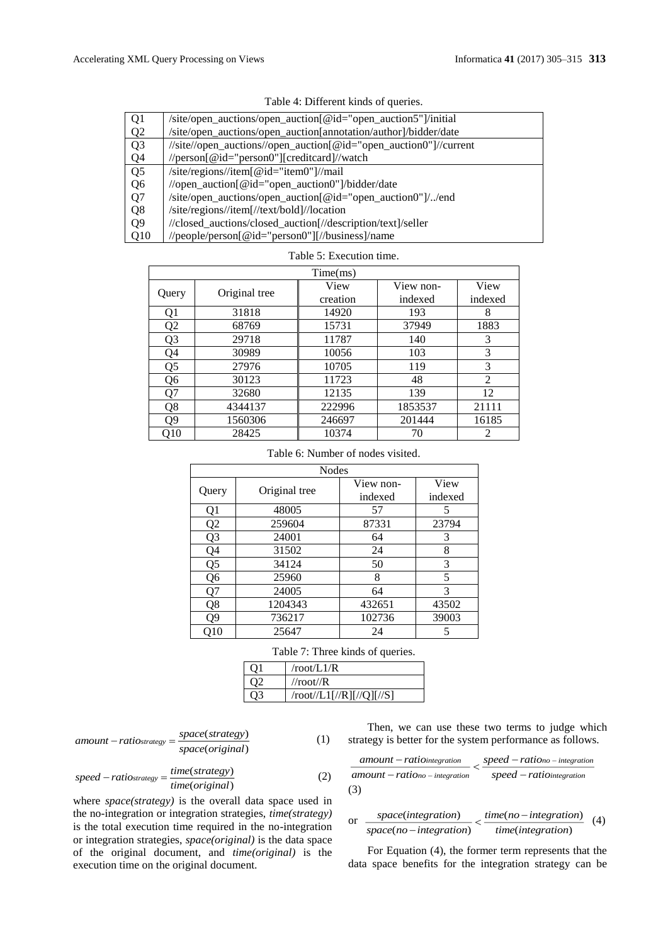| Q <sub>1</sub> | /site/open_auctions/open_auction[@id="open_auction5"]/initial     |
|----------------|-------------------------------------------------------------------|
| Q <sub>2</sub> | /site/open_auctions/open_auction[annotation/author]/bidder/date   |
| Q <sub>3</sub> | //site//open_auctions//open_auction[@id="open_auction0"]//current |
| Q <sub>4</sub> | //person[@id="person0"][creditcard]//watch                        |
| Q <sub>5</sub> | /site/regions//item[@id="item0"]//mail                            |
| Q <sub>6</sub> | //open_auction[@id="open_auction0"]/bidder/date                   |
| Q7             | /site/open_auctions/open_auction[@id="open_auction0"]//end        |
| Q <sub>8</sub> | /site/regions//item[//text/bold]//location                        |
| Q <sub>9</sub> | //closed_auctions/closed_auction[//description/text]/seller       |
| Q10            | //people/person[@id="person0"][//business]/name                   |

| Table 4: Different kinds of queries. |  |  |  |
|--------------------------------------|--|--|--|
|--------------------------------------|--|--|--|

|                |               | Time(ms) |           |                |
|----------------|---------------|----------|-----------|----------------|
|                |               | View     | View non- | View           |
| Query          | Original tree | creation | indexed   | indexed        |
| Q1             | 31818         | 14920    | 193       | 8              |
| Q <sub>2</sub> | 68769         | 15731    | 37949     | 1883           |
| Q <sub>3</sub> | 29718         | 11787    | 140       | 3              |
| Q4             | 30989         | 10056    | 103       | 3              |
| Q5             | 27976         | 10705    | 119       | 3              |
| Q6             | 30123         | 11723    | 48        | $\mathfrak{D}$ |
| Q7             | 32680         | 12135    | 139       | 12             |
| Q8             | 4344137       | 222996   | 1853537   | 21111          |
| Q9             | 1560306       | 246697   | 201444    | 16185          |
| Q10            | 28425         | 10374    | 70        | 2              |

# Table 5: Execution time.

#### Table 6: Number of nodes visited.

| <b>Nodes</b> |               |           |         |
|--------------|---------------|-----------|---------|
|              |               | View non- | View    |
| Query        | Original tree | indexed   | indexed |
| Q1           | 48005         | 57        | 5       |
| Q2           | 259604        | 87331     | 23794   |
| Q3           | 24001         | 64        | 3       |
| Q4           | 31502         | 24        | 8       |
| Q5           | 34124         | 50        | 3       |
| Q6           | 25960         | 8         | 5       |
| Q7           | 24005         | 64        | 3       |
| Q8           | 1204343       | 432651    | 43502   |
| Ο9           | 736217        | 102736    | 39003   |
| 010          | 25647         | 24        | 5       |

Table 7: Three kinds of queries.

| $^{\cap}$ 1 | /root/L1/R                 |
|-------------|----------------------------|
| $\gamma$    | //root// $R$               |
| ገ3          | $/root/L1$ [//R][//Q][//S] |

$$
amount-ratio_{strategy} = \frac{space(strategy)}{space(original)}
$$
 (1)

Then, we can use these two terms to judge which strategy is better for the system performance as follows.

$$
\frac{amount-ration the gradient of a 3D} = \frac{speed-rationo-integration}{speed-ration the gradient of a 3D}
$$
\n(3)

$$
\int_{1}^{1} \quad \text{or} \quad \frac{space(integration)}{space(no-integration)} < \frac{time(no-integration)}{time(integration)}
$$

For Equation (4), the former term represents that the data space benefits for the integration strategy can be

(4)

 $speed-ratio_{strategy} = \frac{time(strategy)}{time(original)}$ where *space(strategy)* is the overall data space used in the no-integration or integration strategies, *time(strategy)* is the total execution time required in the no-integration or integration strategies, *space(original)* is the data space of the original document, and *time(original)* is the

execution time on the original document.

(strategy)

 $-ratio<sub>strategy</sub> = \frac{time(siruegy)}{(2)}$  (2)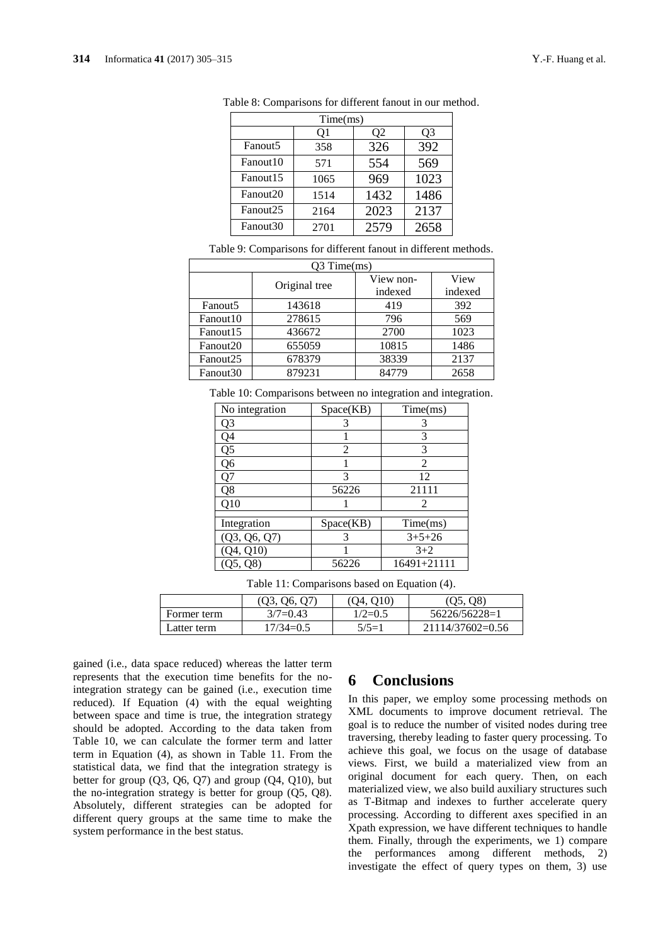|                      | Time(ms) |      |      |  |
|----------------------|----------|------|------|--|
|                      | 01       | Ο2   | O3   |  |
| Fanout <sub>5</sub>  | 358      | 326  | 392  |  |
| Fanout <sub>10</sub> | 571      | 554  | 569  |  |
| Fanout <sub>15</sub> | 1065     | 969  | 1023 |  |
| Fanout20             | 1514     | 1432 | 1486 |  |
| Fanout <sub>25</sub> | 2164     | 2023 | 2137 |  |
| Fanout <sub>30</sub> | 2701     | 2579 | 2658 |  |

Table 8: Comparisons for different fanout in our method.

Table 9: Comparisons for different fanout in different methods.

| $O3$ Time $(ms)$     |               |           |         |  |
|----------------------|---------------|-----------|---------|--|
|                      | Original tree | View non- | View    |  |
|                      |               | indexed   | indexed |  |
| Fanout <sub>5</sub>  | 143618        | 419       | 392     |  |
| Fanout10             | 278615        | 796       | 569     |  |
| Fanout15             | 436672        | 2700      | 1023    |  |
| Fanout20             | 655059        | 10815     | 1486    |  |
| Fanout25             | 678379        | 38339     | 2137    |  |
| Fanout <sub>30</sub> | 879231        | 84779     | 2658    |  |

Table 10: Comparisons between no integration and integration.

| No integration | Space(KB)      | Time(ms)    |
|----------------|----------------|-------------|
| Q3             | 3              | 3           |
| Q4             |                | 3           |
| Q5             | $\mathfrak{D}$ | 3           |
| Q6             |                | 2           |
| Q7             | 3              | 12          |
| Q8             | 56226          | 21111       |
| Q10            |                | 2           |
|                |                |             |
| Integration    | Space(KB)      | Time(ms)    |
| (Q3, Q6, Q7)   |                | $3+5+26$    |
| O(10)          |                | $3 + 2$     |
|                | 56226          | 16491+21111 |

Table 11: Comparisons based on Equation (4).

|             | (03, 06, 07) | (04.010)  | (05, 08)         |
|-------------|--------------|-----------|------------------|
| Former term | $3/7=0.43$   | $1/2=0.5$ | 56226/56228=1    |
| Latter term | $17/34=0.5$  | $5/5=1$   | 21114/37602=0.56 |

gained (i.e., data space reduced) whereas the latter term represents that the execution time benefits for the nointegration strategy can be gained (i.e., execution time reduced). If Equation (4) with the equal weighting between space and time is true, the integration strategy should be adopted. According to the data taken from Table 10, we can calculate the former term and latter term in Equation (4), as shown in Table 11. From the statistical data, we find that the integration strategy is better for group  $(Q3, Q6, Q7)$  and group  $(Q4, Q10)$ , but the no-integration strategy is better for group (Q5, Q8). Absolutely, different strategies can be adopted for different query groups at the same time to make the system performance in the best status.

## **6 Conclusions**

In this paper, we employ some processing methods on XML documents to improve document retrieval. The goal is to reduce the number of visited nodes during tree traversing, thereby leading to faster query processing. To achieve this goal, we focus on the usage of database views. First, we build a materialized view from an original document for each query. Then, on each materialized view, we also build auxiliary structures such as T-Bitmap and indexes to further accelerate query processing. According to different axes specified in an Xpath expression, we have different techniques to handle them. Finally, through the experiments, we 1) compare the performances among different methods, 2) investigate the effect of query types on them, 3) use